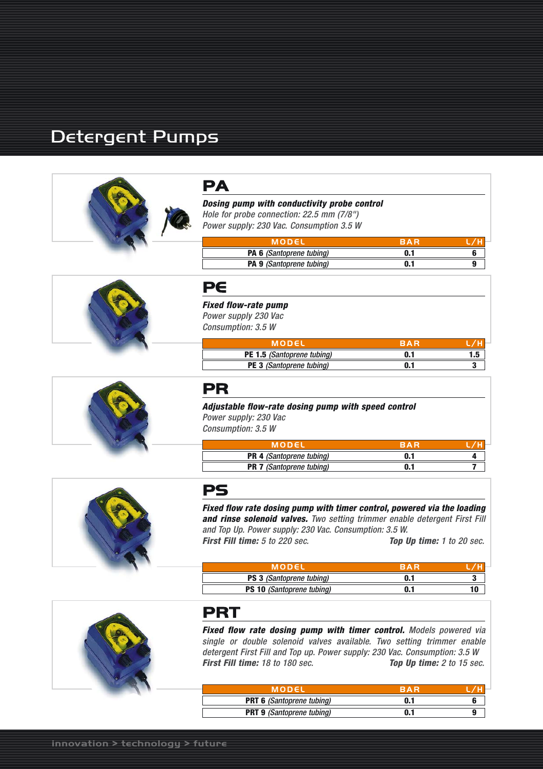# Detergent Pumps





*Dosing pump with conductivity probe control Hole for probe connection: 22.5 mm (7/8")*

*Power supply: 230 Vac. Consumption 3.5 W*

| MODEL                           | <b>RAR</b> |  |
|---------------------------------|------------|--|
| <b>PA 6 (Santoprene tubing)</b> |            |  |
| <b>PA 9</b> (Santoprene tubing) | 0.1        |  |



*Fixed flow-rate pump Power supply 230 Vac Consumption: 3.5 W*

| MODEL                             | RAR |     |
|-----------------------------------|-----|-----|
| <b>PE 1.5 (Santoprene tubing)</b> |     | 1.5 |
| <b>PE 3</b> (Santoprene tubing)   |     |     |

# **PR**

*Adjustable flow-rate dosing pump with speed control Power supply: 230 Vac Consumption: 3.5 W*

| MODEL                           | RAR |  |
|---------------------------------|-----|--|
| <b>PR 4 (Santoprene tubing)</b> | 0.1 |  |
| <b>PR 7</b> (Santoprene tubing) | 0.1 |  |



# **PS**

*Fixed flow rate dosing pump with timer control, powered via the loading and rinse solenoid valves. Two setting trimmer enable detergent First Fill and Top Up. Power supply: 230 Vac. Consumption: 3.5 W. First Fill time: 5 to 220 sec. Top Up time: 1 to 20 sec.*

| MODEL                            | RAR |  |
|----------------------------------|-----|--|
| <b>PS 3</b> (Santoprene tubing)  | 0.1 |  |
| <b>PS 10 (Santoprene tubing)</b> | 0.1 |  |



# **PRT**

*Fixed flow rate dosing pump with timer control. Models powered via single or double solenoid valves available. Two setting trimmer enable detergent First Fill and Top up. Power supply: 230 Vac. Consumption: 3.5 W First Fill time: 18 to 180 sec. Top Up time: 2 to 15 sec.* 

| MODEL                            | RAR |  |
|----------------------------------|-----|--|
| <b>PRT 6 (Santoprene tubing)</b> | 0.1 |  |
| <b>PRT 9</b> (Santoprene tubing) | 0.1 |  |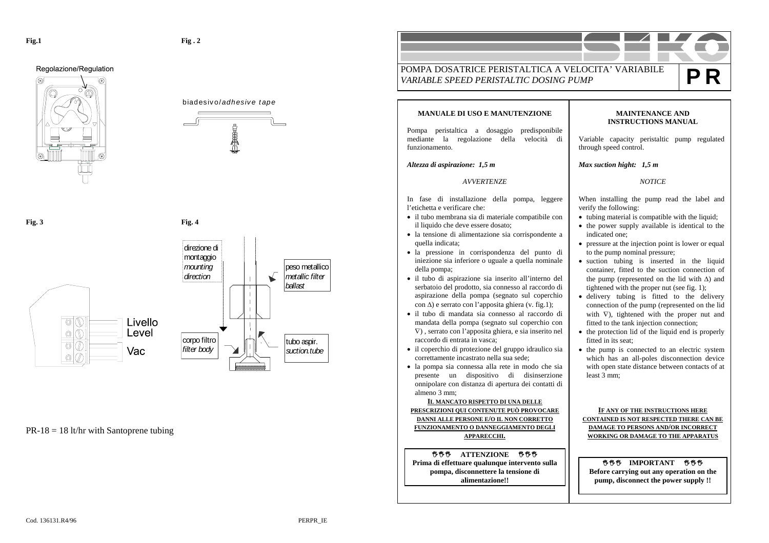Regolazione/Regulation











 $PR-18 = 18$  lt/hr with Santoprene tubing

POMPA DOSATRICE PERISTALTICA A VELOCITA' VARIABILE *VARIABLE SPEED PERISTALTIC DOSING PUMP* **P RMANUALE DI USO E MANUTENZIONE** Pompa peristaltica a dosaggio predisponibile mediante la regolazione della velocità di *Altezza di aspirazione: 1,5 m AVVERTENZE* In fase di installazione della pompa, leggere l'etichetta e verificare che: • il tubo membrana sia di materiale compatibile con il liquido che deve essere dosato; • la tensione di alimentazione sia corrispondente a • la pressione in corrispondenza del punto di iniezione sia inferiore o uguale a quella nominale • il tubo di aspirazione sia inserito all'interno del serbatoio del prodotto, sia connesso al raccordo di aspirazione della pompa (segnato sul coperchio con ∆) e serrato con l'apposita ghiera (v. fig.1); • il tubo di mandata sia connesso al raccordo di mandata della pompa (segnato sul coperchio con ∇) , serrato con l'apposita ghiera, e sia inserito nel raccordo di entrata in vasca; • il coperchio di protezione del gruppo idraulico sia correttamente incastrato nella sua sede; • la pompa sia connessa alla rete in modo che sia presente un dispositivo di disinserzione onnipolare con distanza di apertura dei contatti di **IL MANCATO RISPETTO DI UNA DELLE PRESCRIZIONI QUI CONTENUTE PUÒ PROVOCARE DANNI ALLE PERSONE E/O IL NON CORRETTO FUNZIONAMENTO O DANNEGGIAMENTO DEGLI MAINTENANCE AND INSTRUCTIONS MANUAL**Variable capacity peristaltic pump regulated through speed control. *Max suction hight: 1,5 m NOTICE* When installing the pump read the label and verify the following: • tubing material is compatible with the liquid; • the power supply available is identical to the indicated one; • pressure at the injection point is lower or equal to the pump nominal pressure; • suction tubing is inserted in the liquid container, fitted to the suction connection of the pump (represented on the lid with ∆) and tightened with the proper nut (see fig. 1); • delivery tubing is fitted to the delivery connection of the pump (represented on the lid with  $∇$ ), tightened with the proper nut and fitted to the tank injection connection; • the protection lid of the liquid end is properly fitted in its seat; • the pump is connected to an electric system which has an all-poles disconnection device with open state distance between contacts of at least 3 mm; **IF ANY OF THE INSTRUCTIONS HERE CONTAINED IS NOT RESPECTED THERE CAN BE DAMAGE TO PERSONS AND/OR INCORRECT** 

**WORKING OR DAMAGE TO THE APPARATUS**

**卷卷卷 IMPORTANT 卷卷卷 Before carrying out any operation on the pump, disconnect the power supply !!** 

**APPARECCHI.**

**卷卷卷 ATTENZIONE 卷卷卷 Prima di effettuare qualunque intervento sulla pompa, disconnettere la tensione di alimentazione!!** 

funzionamento.

quella indicata;

della pompa;

almeno 3 mm;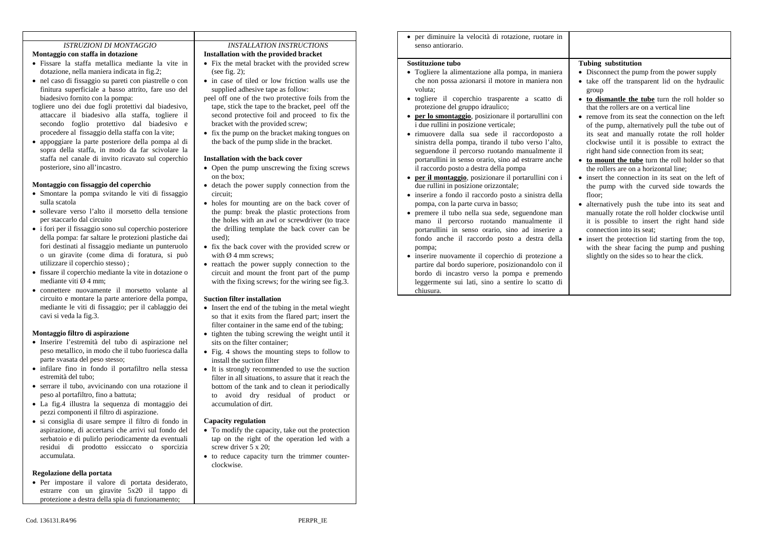## *ISTRUZIONI DI MONTAGGIO*

- **Montaggio con staffa in dotazione**
- Fissare la staffa metallica mediante la vite in dotazione, nella maniera indicata in fig.2;
- nel caso di fissaggio su pareti con piastrelle o con finitura superficiale a basso attrito, fare uso del biadesivo fornito con la pompa:
- togliere uno dei due fogli protettivi dal biadesivo, attaccare il biadesivo alla staffa, togliere il secondo foglio protettivo dal biadesivo e procedere al fissaggio della staffa con la vite;
- appoggiare la parte posteriore della pompa al di sopra della staffa, in modo da far scivolare la staffa nel canale di invito ricavato sul coperchio posteriore, sino all'incastro.

#### **Montaggio con fissaggio del coperchio**

- Smontare la pompa svitando le viti di fissaggio sulla scatola
- sollevare verso l'alto il morsetto della tensione per staccarlo dal circuito
- i fori per il fissaggio sono sul coperchio posteriore della pompa: far saltare le protezioni plastiche dai fori destinati al fissaggio mediante un punteruolo o un giravite (come dima di foratura, si può utilizzare il coperchio stesso) ;
- fissare il coperchio mediante la vite in dotazione o mediante viti Ø 4 mm;
- connettere nuovamente il morsetto volante al circuito e montare la parte anteriore della pompa, mediante le viti di fissaggio; per il cablaggio dei cavi si veda la fig.3.

### **Montaggio filtro di aspirazione**

- Inserire l'estremità del tubo di aspirazione nel peso metallico, in modo che il tubo fuoriesca dalla parte svasata del peso stesso;
- infilare fino in fondo il portafiltro nella stessa estremità del tubo;
- serrare il tubo, avvicinando con una rotazione il peso al portafiltro, fino a battuta;
- La fig.4 illustra la sequenza di montaggio dei pezzi componenti il filtro di aspirazione.
- si consiglia di usare sempre il filtro di fondo in aspirazione, di accertarsi che arrivi sul fondo del serbatoio e di pulirlo periodicamente da eventuali residui di prodotto essiccato o sporcizia accumulata.

#### **Regolazione della portata**

• Per impostare il valore di portata desiderato, estrarre con un giravite 5x20 il tappo di protezione a destra della spia di funzionamento;

### *INSTALLATION INSTRUCTIONS*

## **Installation with the provided bracket**

- Fix the metal bracket with the provided screw (see fig. 2):
- in case of tiled or low friction walls use the supplied adhesive tape as follow:
- peel off one of the two protective foils from the tape, stick the tape to the bracket, peel off the second protective foil and proceed to fix the bracket with the provided screw;
- fix the pump on the bracket making tongues on the back of the pump slide in the bracket.

#### **Installation with the back cover**

- Open the pump unscrewing the fixing screws on the box;
- detach the power supply connection from the circuit;
- holes for mounting are on the back cover of the pump: break the plastic protections from the holes with an awl or screwdriver (to trace the drilling template the back cover can be used);
- fix the back cover with the provided screw or with  $\varnothing$  4 mm screws:
- reattach the power supply connection to the circuit and mount the front part of the pump with the fixing screws; for the wiring see fig.3.

#### **Suction filter installation**

- Insert the end of the tubing in the metal wieght so that it exits from the flared part; insert the filter container in the same end of the tubing;
- tighten the tubing screwing the weight until it sits on the filter container;
- Fig. 4 shows the mounting steps to follow to install the suction filter
- It is strongly recommended to use the suction filter in all situations, to assure that it reach the bottom of the tank and to clean it periodically to avoid dry residual of product or accumulation of dirt.

### **Capacity regulation**

- To modify the capacity, take out the protection tap on the right of the operation led with a screw driver 5 x 20;
- to reduce capacity turn the trimmer counterclockwise.

• per diminuire la velocità di rotazione, ruotare in senso antiorario.

## **Sostituzione tubo**

- Togliere la alimentazione alla pompa, in maniera che non possa azionarsi il motore in maniera non voluta;
- togliere il coperchio trasparente a scatto di protezione del gruppo idraulico;
- **per lo smontaggio**, posizionare il portarullini con i due rullini in posizione verticale;
- rimuovere dalla sua sede il raccordoposto a sinistra della pompa, tirando il tubo verso l'alto, seguendone il percorso ruotando manualmente il portarullini in senso orario, sino ad estrarre anche il raccordo posto a destra della pompa
- **per il montaggio**, posizionare il portarullini con i due rullini in posizione orizzontale;
- inserire a fondo il raccordo posto a sinistra della pompa, con la parte curva in basso;
- premere il tubo nella sua sede, seguendone man mano il percorso ruotando manualmente il portarullini in senso orario, sino ad inserire a fondo anche il raccordo posto a destra della pompa;
- inserire nuovamente il coperchio di protezione a partire dal bordo superiore, posizionandolo con il bordo di incastro verso la pompa e premendo leggermente sui lati, sino a sentire lo scatto di chiusura.

#### **Tubing substitution**

- Disconnect the pump from the power supply
- take off the transparent lid on the hydraulic group
- **to dismantle the tube** turn the roll holder so that the rollers are on a vertical line
- remove from its seat the connection on the left of the pump, alternatively pull the tube out of its seat and manually rotate the roll holder clockwise until it is possible to extract the right hand side connection from its seat;
- **to mount the tube** turn the roll holder so that the rollers are on a horizontal line;
- insert the connection in its seat on the left of the pump with the curved side towards the floor;
- alternatively push the tube into its seat and manually rotate the roll holder clockwise until it is possible to insert the right hand side connection into its seat;
- insert the protection lid starting from the top, with the shear facing the pump and pushing slightly on the sides so to hear the click.